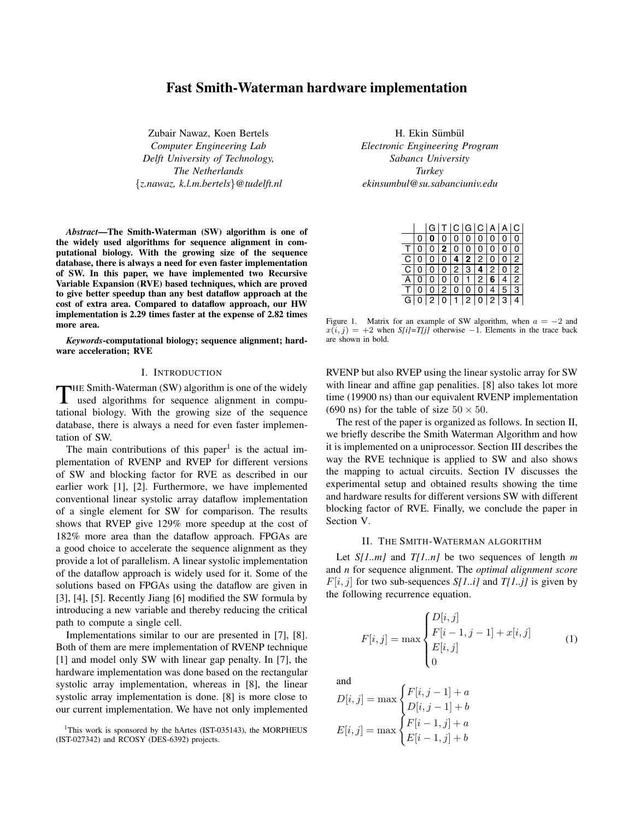# **Fast Smith-Waterman hardware implementation**

Zubair Nawaz, Koen Bertels *Computer Engineering Lab Delft University of Technology, The Netherlands* {*z.nawaz, k.l.m.bertels*}*@tudelft.nl*

*Abstract***—The Smith-Waterman (SW) algorithm is one of the widely used algorithms for sequence alignment in computational biology. With the growing size of the sequence database, there is always a need for even faster implementation of SW. In this paper, we have implemented two Recursive Variable Expansion (RVE) based techniques, which are proved to give better speedup than any best dataflow approach at the cost of extra area. Compared to dataflow approach, our HW implementation is 2.29 times faster at the expense of 2.82 times more area.**

*Keywords***-computational biology; sequence alignment; hardware acceleration; RVE**

### I. INTRODUCTION

THE Smith-Waterman (SW) algorithm is one of the widely used algorithms for sequence alignment in computational biology. With the growing size of the sequence database, there is always a need for even faster implementation of SW.

The main contributions of this paper<sup>1</sup> is the actual implementation of RVENP and RVEP for different versions of SW and blocking factor for RVE as described in our earlier work [1], [2]. Furthermore, we have implemented conventional linear systolic array dataflow implementation of a single element for SW for comparison. The results shows that RVEP give 129% more speedup at the cost of 182% more area than the dataflow approach. FPGAs are a good choice to accelerate the sequence alignment as they provide a lot of parallelism. A linear systolic implementation of the dataflow approach is widely used for it. Some of the solutions based on FPGAs using the dataflow are given in [3], [4], [5]. Recently Jiang [6] modified the SW formula by introducing a new variable and thereby reducing the critical path to compute a single cell.

Implementations similar to our are presented in [7], [8]. Both of them are mere implementation of RVENP technique [1] and model only SW with linear gap penalty. In [7], the hardware implementation was done based on the rectangular systolic array implementation, whereas in [8], the linear systolic array implementation is done. [8] is more close to our current implementation. We have not only implemented

<sup>1</sup>This work is sponsored by the hArtes (IST-035143), the MORPHEUS (IST-027342) and RCOSY (DES-6392) projects.

H. Ekin Sümbül *Electronic Engineering Program Sabancı University Turkey ekinsumbul@su.sabanciuniv.edu*

|          |                | l G | T C G C A A C             |     |                |                |
|----------|----------------|-----|---------------------------|-----|----------------|----------------|
|          | 0 <sup>1</sup> |     | $0   0   0   0   0  $     |     | $\overline{0}$ | 0              |
|          |                |     | 0 0 2 0 0 0 0 0           |     |                | 0              |
|          |                |     | C[0 0 0 4 2 2 0           |     | $\mathbf 0$    | $\overline{2}$ |
|          | C O L          |     | 0 0 2 3 4 2 0             |     |                | 2              |
| A        | $\overline{0}$ |     | 0 0 0 1 2 6 4             |     |                | 2              |
| $T \mid$ |                |     | $0 \quad 2 \quad 0 \quad$ | 0 0 | 5              | l 3            |
| GI       |                |     | 0 2 0 1 2 0 2 3           |     |                |                |

Figure 1. Matrix for an example of SW algorithm, when *a* = *−*2 and  $x(i, j) = +2$  when *S[i]=T[j]* otherwise *−*1. Elements in the trace back are shown in bold.

RVENP but also RVEP using the linear systolic array for SW with linear and affine gap penalities. [8] also takes lot more time (19900 ns) than our equivalent RVENP implementation (690 ns) for the table of size  $50 \times 50$ .

The rest of the paper is organized as follows. In section II, we briefly describe the Smith Waterman Algorithm and how it is implemented on a uniprocessor. Section III describes the way the RVE technique is applied to SW and also shows the mapping to actual circuits. Section IV discusses the experimental setup and obtained results showing the time and hardware results for different versions SW with different blocking factor of RVE. Finally, we conclude the paper in Section V.

#### II. THE SMITH-WATERMAN ALGORITHM

Let *S[1..m]* and *T[1..n]* be two sequences of length *m* and *n* for sequence alignment. The *optimal alignment score*  $F[i, j]$  for two sub-sequences *S[1..i]* and *T[1..j]* is given by the following recurrence equation.

$$
F[i,j] = \max \begin{cases} D[i,j] \\ F[i-1,j-1] + x[i,j] \\ E[i,j] \\ 0 \end{cases}
$$
 (1)

and

$$
D[i,j] = \max \begin{cases} F[i,j-1] + a \\ D[i,j-1] + b \\ F[i,j] = \max \begin{cases} F[i-1,j] + a \\ E[i-1,j] + b \end{cases} \end{cases}
$$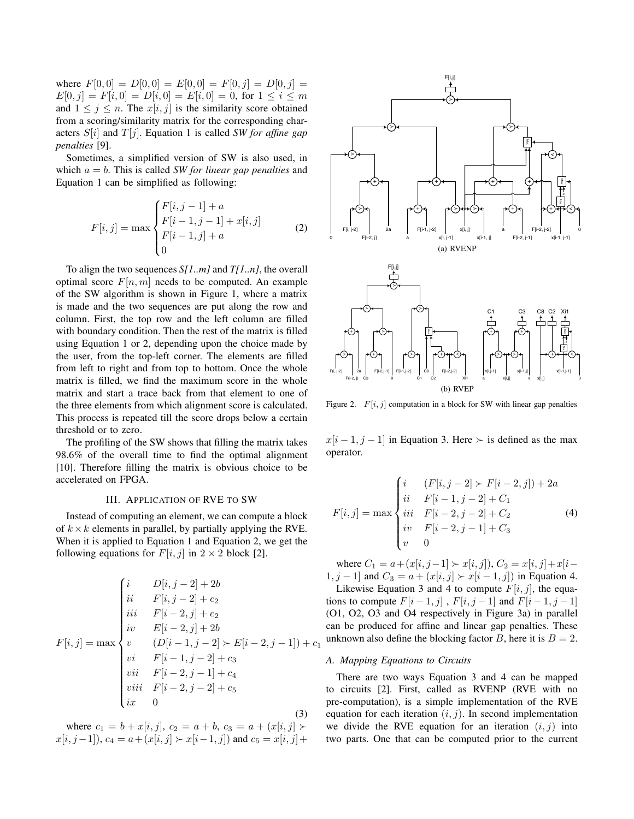where  $F[0,0] = D[0,0] = E[0,0] = F[0,j] = D[0,j] =$  $E[0, j] = F[i, 0] = D[i, 0] = E[i, 0] = 0$ , for  $1 \le i \le m$ and  $1 \leq j \leq n$ . The  $x[i, j]$  is the similarity score obtained from a scoring/similarity matrix for the corresponding characters *S*[*i*] and *T* [*j*]. Equation 1 is called *SW for affine gap penalties* [9].

Sometimes, a simplified version of SW is also used, in which  $a = b$ . This is called *SW for linear gap penalties* and Equation 1 can be simplified as following:

$$
F[i,j] = \max \begin{cases} F[i,j-1] + a \\ F[i-1,j-1] + x[i,j] \\ F[i-1,j] + a \\ 0 \end{cases}
$$
 (2)

To align the two sequences *S[1..m]* and *T[1..n]*, the overall optimal score  $F[n, m]$  needs to be computed. An example of the SW algorithm is shown in Figure 1, where a matrix is made and the two sequences are put along the row and column. First, the top row and the left column are filled with boundary condition. Then the rest of the matrix is filled using Equation 1 or 2, depending upon the choice made by the user, from the top-left corner. The elements are filled from left to right and from top to bottom. Once the whole matrix is filled, we find the maximum score in the whole matrix and start a trace back from that element to one of the three elements from which alignment score is calculated. This process is repeated till the score drops below a certain threshold or to zero.

The profiling of the SW shows that filling the matrix takes 98.6% of the overall time to find the optimal alignment [10]. Therefore filling the matrix is obvious choice to be accelerated on FPGA.

# III. APPLICATION OF RVE TO SW

Instead of computing an element, we can compute a block of  $k \times k$  elements in parallel, by partially applying the RVE. When it is applied to Equation 1 and Equation 2, we get the following equations for  $F[i, j]$  in  $2 \times 2$  block [2].

$$
F[i,j] = \max \begin{cases} i & D[i,j-2] + 2b \\ ii & F[i,j-2] + c_2 \\ iii & F[i-2,j] + c_2 \\ iv & E[i-2,j] + 2b \\ v & (D[i-1,j-2] \succ E[i-2,j-1]) + c_1 \\ vi & F[i-1,j-2] + c_3 \\ vii & F[i-2,j-1] + c_4 \\ viii & F[i-2,j-2] + c_5 \\ ix & 0 \end{cases}
$$
(3)

where  $c_1 = b + x[i, j], c_2 = a + b, c_3 = a + (x[i, j])$ *x*[*i*, *j* − 1]),  $c_4 = a + (x[i, j]) \succ x[i-1, j]$  and  $c_5 = x[i, j] + (y[i-1, j])$ 



Figure 2.  $F[i, j]$  computation in a block for SW with linear gap penalties

 $x[i-1, j-1]$  in Equation 3. Here  $\succ$  is defined as the max operator.

$$
F[i,j] = \max \begin{cases} i & (F[i,j-2] \succ F[i-2,j]) + 2a \\ ii & F[i-1,j-2] + C_1 \\ iii & F[i-2,j-2] + C_2 \\ iv & F[i-2,j-1] + C_3 \\ v & 0 \end{cases}
$$
(4)

where  $C_1 = a + (x[i, j-1] \succ x[i, j])$ ,  $C_2 = x[i, j] + x[i-1]$ 1*, j* − 1] and  $C_3 = a + (x[i, j] \succ x[i - 1, j])$  in Equation 4.

Likewise Equation 3 and 4 to compute  $F[i, j]$ , the equations to compute  $F[i-1,j]$ ,  $F[i, j-1]$  and  $F[i-1, j-1]$ (O1, O2, O3 and O4 respectively in Figure 3a) in parallel can be produced for affine and linear gap penalties. These unknown also define the blocking factor *B*, here it is  $B = 2$ .

# *A. Mapping Equations to Circuits*

There are two ways Equation 3 and 4 can be mapped to circuits [2]. First, called as RVENP (RVE with no pre-computation), is a simple implementation of the RVE equation for each iteration  $(i, j)$ . In second implementation we divide the RVE equation for an iteration  $(i, j)$  into two parts. One that can be computed prior to the current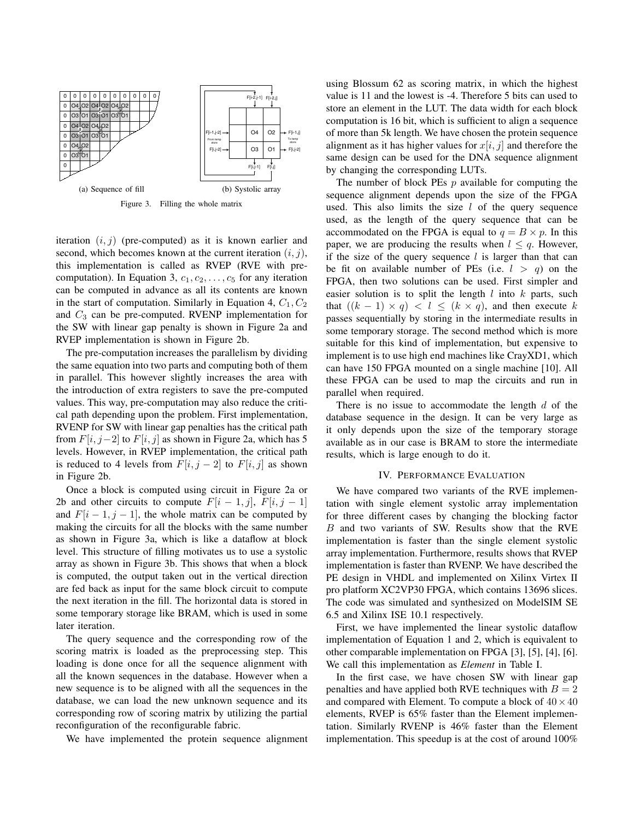

iteration (*i, j*) (pre-computed) as it is known earlier and second, which becomes known at the current iteration (*i, j*), this implementation is called as RVEP (RVE with precomputation). In Equation 3,  $c_1, c_2, \ldots, c_5$  for any iteration can be computed in advance as all its contents are known in the start of computation. Similarly in Equation 4,  $C_1$ ,  $C_2$ and *C*<sup>3</sup> can be pre-computed. RVENP implementation for the SW with linear gap penalty is shown in Figure 2a and RVEP implementation is shown in Figure 2b.

The pre-computation increases the parallelism by dividing the same equation into two parts and computing both of them in parallel. This however slightly increases the area with the introduction of extra registers to save the pre-computed values. This way, pre-computation may also reduce the critical path depending upon the problem. First implementation, RVENP for SW with linear gap penalties has the critical path from  $F[i, j-2]$  to  $F[i, j]$  as shown in Figure 2a, which has 5 levels. However, in RVEP implementation, the critical path is reduced to 4 levels from  $F[i, j - 2]$  to  $F[i, j]$  as shown in Figure 2b.

Once a block is computed using circuit in Figure 2a or 2b and other circuits to compute  $F[i - 1, j]$ ,  $F[i, j - 1]$ and  $F[i - 1, j - 1]$ , the whole matrix can be computed by making the circuits for all the blocks with the same number as shown in Figure 3a, which is like a dataflow at block level. This structure of filling motivates us to use a systolic array as shown in Figure 3b. This shows that when a block is computed, the output taken out in the vertical direction are fed back as input for the same block circuit to compute the next iteration in the fill. The horizontal data is stored in some temporary storage like BRAM, which is used in some later iteration.

The query sequence and the corresponding row of the scoring matrix is loaded as the preprocessing step. This loading is done once for all the sequence alignment with all the known sequences in the database. However when a new sequence is to be aligned with all the sequences in the database, we can load the new unknown sequence and its corresponding row of scoring matrix by utilizing the partial reconfiguration of the reconfigurable fabric.

We have implemented the protein sequence alignment

using Blossum 62 as scoring matrix, in which the highest value is 11 and the lowest is -4. Therefore 5 bits can used to store an element in the LUT. The data width for each block computation is 16 bit, which is sufficient to align a sequence of more than 5k length. We have chosen the protein sequence alignment as it has higher values for  $x[i, j]$  and therefore the same design can be used for the DNA sequence alignment by changing the corresponding LUTs.

The number of block PEs *p* available for computing the sequence alignment depends upon the size of the FPGA used. This also limits the size *l* of the query sequence used, as the length of the query sequence that can be accommodated on the FPGA is equal to  $q = B \times p$ . In this paper, we are producing the results when  $l \leq q$ . However, if the size of the query sequence *l* is larger than that can be fit on available number of PEs (i.e.  $l > q$ ) on the FPGA, then two solutions can be used. First simpler and easier solution is to split the length *l* into *k* parts, such that  $((k - 1) \times q) < l \leq (k \times q)$ , and then execute *k* passes sequentially by storing in the intermediate results in some temporary storage. The second method which is more suitable for this kind of implementation, but expensive to implement is to use high end machines like CrayXD1, which can have 150 FPGA mounted on a single machine [10]. All these FPGA can be used to map the circuits and run in parallel when required.

There is no issue to accommodate the length *d* of the database sequence in the design. It can be very large as it only depends upon the size of the temporary storage available as in our case is BRAM to store the intermediate results, which is large enough to do it.

#### IV. PERFORMANCE EVALUATION

We have compared two variants of the RVE implementation with single element systolic array implementation for three different cases by changing the blocking factor *B* and two variants of SW. Results show that the RVE implementation is faster than the single element systolic array implementation. Furthermore, results shows that RVEP implementation is faster than RVENP. We have described the PE design in VHDL and implemented on Xilinx Virtex II pro platform XC2VP30 FPGA, which contains 13696 slices. The code was simulated and synthesized on ModelSIM SE 6.5 and Xilinx ISE 10.1 respectively.

First, we have implemented the linear systolic dataflow implementation of Equation 1 and 2, which is equivalent to other comparable implementation on FPGA [3], [5], [4], [6]. We call this implementation as *Element* in Table I.

In the first case, we have chosen SW with linear gap penalties and have applied both RVE techniques with  $B = 2$ and compared with Element. To compute a block of  $40 \times 40$ elements, RVEP is 65% faster than the Element implementation. Similarly RVENP is 46% faster than the Element implementation. This speedup is at the cost of around 100%